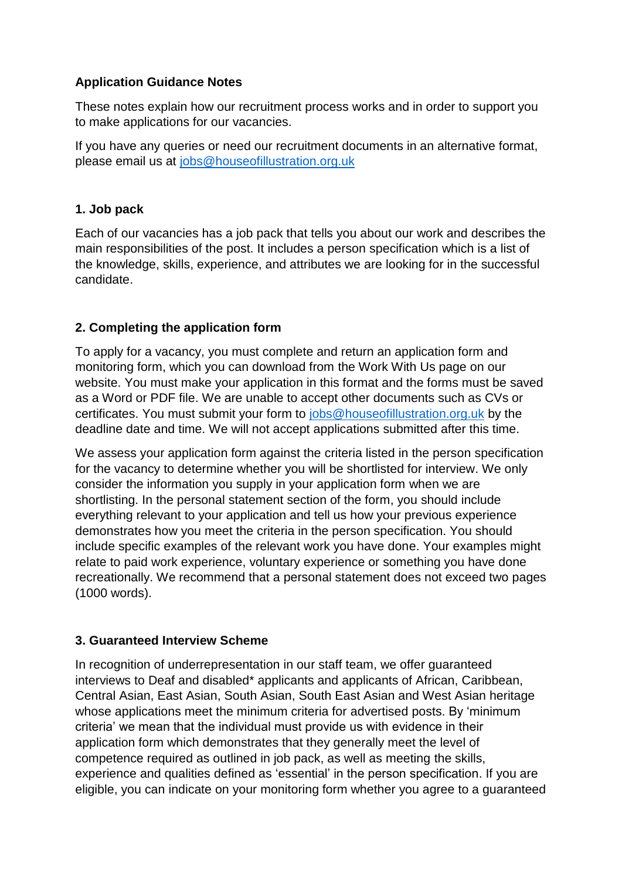## **Application Guidance Notes**

These notes explain how our recruitment process works and in order to support you to make applications for our vacancies.

If you have any queries or need our recruitment documents in an alternative format, please email us at [jobs@houseofillustration.org.uk](mailto:jobs@houseofillustration.org.uk)

## **1. Job pack**

Each of our vacancies has a job pack that tells you about our work and describes the main responsibilities of the post. It includes a person specification which is a list of the knowledge, skills, experience, and attributes we are looking for in the successful candidate.

## **2. Completing the application form**

To apply for a vacancy, you must complete and return an application form and monitoring form, which you can download from the Work With Us page on our website. You must make your application in this format and the forms must be saved as a Word or PDF file. We are unable to accept other documents such as CVs or certificates. You must submit your form to [jobs@houseofillustration.org.uk](mailto:jobs@houseofillustration.org.uk) by the deadline date and time. We will not accept applications submitted after this time.

We assess your application form against the criteria listed in the person specification for the vacancy to determine whether you will be shortlisted for interview. We only consider the information you supply in your application form when we are shortlisting. In the personal statement section of the form, you should include everything relevant to your application and tell us how your previous experience demonstrates how you meet the criteria in the person specification. You should include specific examples of the relevant work you have done. Your examples might relate to paid work experience, voluntary experience or something you have done recreationally. We recommend that a personal statement does not exceed two pages (1000 words).

#### **3. Guaranteed Interview Scheme**

In recognition of underrepresentation in our staff team, we offer guaranteed interviews to Deaf and disabled\* applicants and applicants of African, Caribbean, Central Asian, East Asian, South Asian, South East Asian and West Asian heritage whose applications meet the minimum criteria for advertised posts. By 'minimum criteria' we mean that the individual must provide us with evidence in their application form which demonstrates that they generally meet the level of competence required as outlined in job pack, as well as meeting the skills, experience and qualities defined as 'essential' in the person specification. If you are eligible, you can indicate on your monitoring form whether you agree to a guaranteed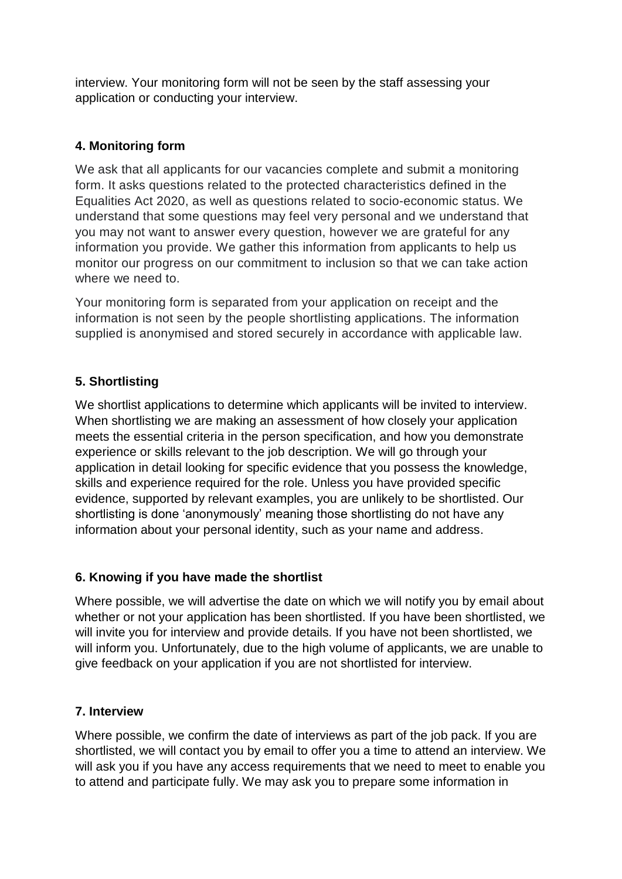interview. Your monitoring form will not be seen by the staff assessing your application or conducting your interview.

## **4. Monitoring form**

We ask that all applicants for our vacancies complete and submit a monitoring form. It asks questions related to the protected characteristics defined in the Equalities Act 2020, as well as questions related to socio-economic status. We understand that some questions may feel very personal and we understand that you may not want to answer every question, however we are grateful for any information you provide. We gather this information from applicants to help us monitor our progress on our commitment to inclusion so that we can take action where we need to.

Your monitoring form is separated from your application on receipt and the information is not seen by the people shortlisting applications. The information supplied is anonymised and stored securely in accordance with applicable law.

# **5. Shortlisting**

We shortlist applications to determine which applicants will be invited to interview. When shortlisting we are making an assessment of how closely your application meets the essential criteria in the person specification, and how you demonstrate experience or skills relevant to the job description. We will go through your application in detail looking for specific evidence that you possess the knowledge, skills and experience required for the role. Unless you have provided specific evidence, supported by relevant examples, you are unlikely to be shortlisted. Our shortlisting is done 'anonymously' meaning those shortlisting do not have any information about your personal identity, such as your name and address.

#### **6. Knowing if you have made the shortlist**

Where possible, we will advertise the date on which we will notify you by email about whether or not your application has been shortlisted. If you have been shortlisted, we will invite you for interview and provide details. If you have not been shortlisted, we will inform you. Unfortunately, due to the high volume of applicants, we are unable to give feedback on your application if you are not shortlisted for interview.

#### **7. Interview**

Where possible, we confirm the date of interviews as part of the job pack. If you are shortlisted, we will contact you by email to offer you a time to attend an interview. We will ask you if you have any access requirements that we need to meet to enable you to attend and participate fully. We may ask you to prepare some information in